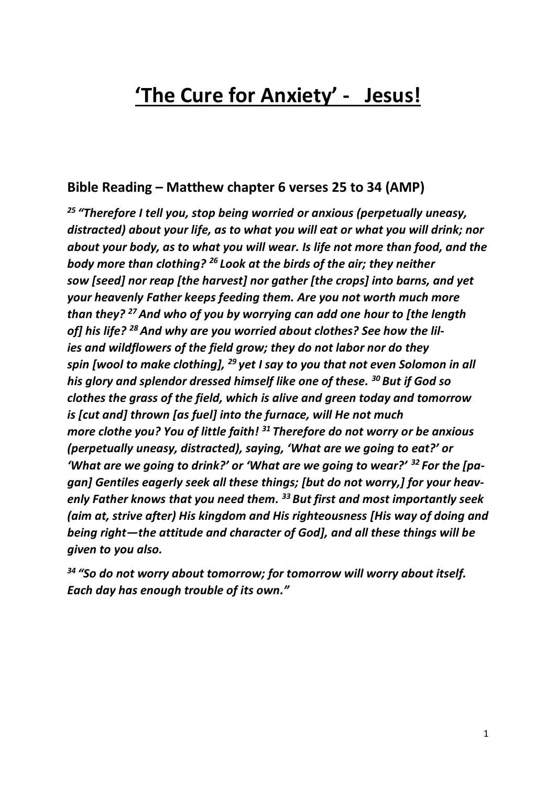# **'The Cure for Anxiety' - Jesus!**

## **Bible Reading – Matthew chapter 6 verses 25 to 34 (AMP)**

*<sup>25</sup> "Therefore I tell you, stop being worried or anxious (perpetually uneasy, distracted) about your life, as to what you will eat or what you will drink; nor about your body, as to what you will wear. Is life not more than food, and the body more than clothing? <sup>26</sup> Look at the birds of the air; they neither sow [seed] nor reap [the harvest] nor gather [the crops] into barns, and yet your heavenly Father keeps feeding them. Are you not worth much more than they? <sup>27</sup>And who of you by worrying can add one hour to [the length of] his life? <sup>28</sup> And why are you worried about clothes? See how the lilies and wildflowers of the field grow; they do not labor nor do they spin [wool to make clothing], <sup>29</sup> yet I say to you that not even Solomon in all his glory and splendor dressed himself like one of these. <sup>30</sup> But if God so clothes the grass of the field, which is alive and green today and tomorrow is [cut and] thrown [as fuel] into the furnace, will He not much more clothe you? You of little faith! <sup>31</sup> Therefore do not worry or be anxious (perpetually uneasy, distracted), saying, 'What are we going to eat?' or 'What are we going to drink?' or 'What are we going to wear?' <sup>32</sup> For the [pagan] Gentiles eagerly seek all these things; [but do not worry,] for your heavenly Father knows that you need them. <sup>33</sup> But first and most importantly seek (aim at, strive after) His kingdom and His righteousness [His way of doing and being right—the attitude and character of God], and all these things will be given to you also.*

*<sup>34</sup> "So do not worry about tomorrow; for tomorrow will worry about itself. Each day has enough trouble of its own."*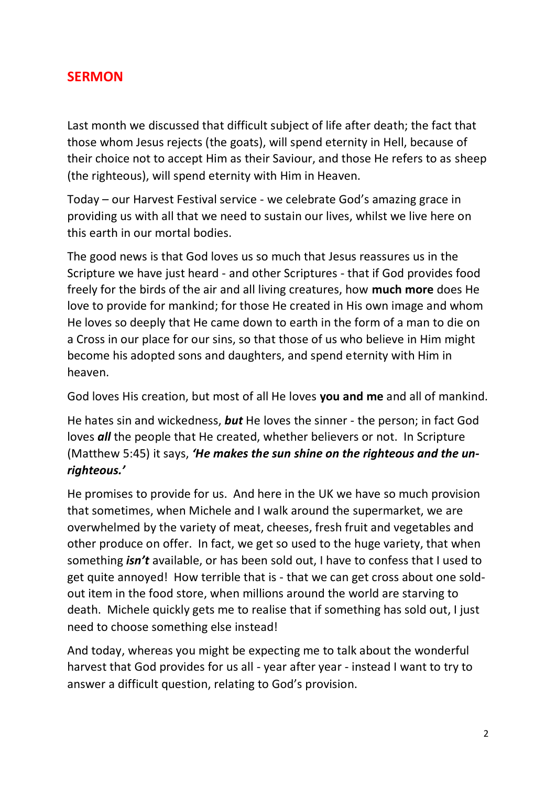## **SERMON**

Last month we discussed that difficult subject of life after death; the fact that those whom Jesus rejects (the goats), will spend eternity in Hell, because of their choice not to accept Him as their Saviour, and those He refers to as sheep (the righteous), will spend eternity with Him in Heaven.

Today – our Harvest Festival service - we celebrate God's amazing grace in providing us with all that we need to sustain our lives, whilst we live here on this earth in our mortal bodies.

The good news is that God loves us so much that Jesus reassures us in the Scripture we have just heard - and other Scriptures - that if God provides food freely for the birds of the air and all living creatures, how **much more** does He love to provide for mankind; for those He created in His own image and whom He loves so deeply that He came down to earth in the form of a man to die on a Cross in our place for our sins, so that those of us who believe in Him might become his adopted sons and daughters, and spend eternity with Him in heaven.

God loves His creation, but most of all He loves **you and me** and all of mankind.

He hates sin and wickedness, *but* He loves the sinner - the person; in fact God loves *all* the people that He created, whether believers or not. In Scripture (Matthew 5:45) it says, *'He makes the sun shine on the righteous and the unrighteous.'*

He promises to provide for us. And here in the UK we have so much provision that sometimes, when Michele and I walk around the supermarket, we are overwhelmed by the variety of meat, cheeses, fresh fruit and vegetables and other produce on offer. In fact, we get so used to the huge variety, that when something *isn't* available, or has been sold out, I have to confess that I used to get quite annoyed! How terrible that is - that we can get cross about one soldout item in the food store, when millions around the world are starving to death. Michele quickly gets me to realise that if something has sold out, I just need to choose something else instead!

And today, whereas you might be expecting me to talk about the wonderful harvest that God provides for us all - year after year - instead I want to try to answer a difficult question, relating to God's provision.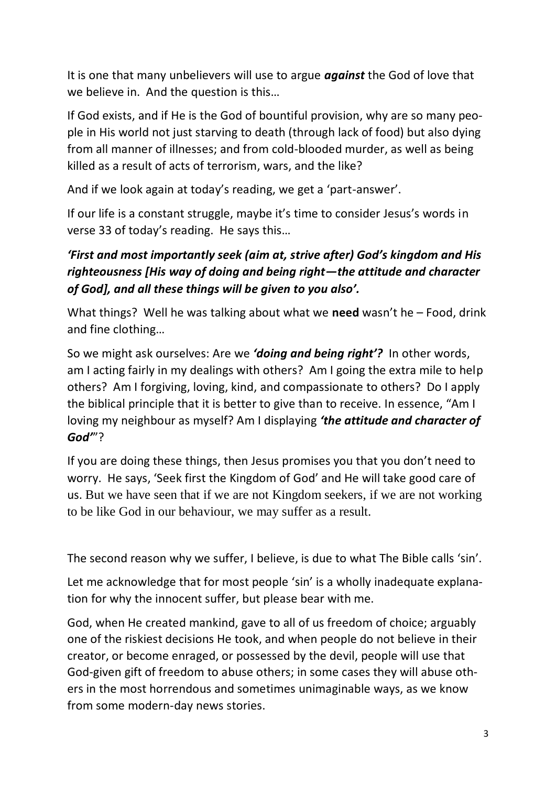It is one that many unbelievers will use to argue *against* the God of love that we believe in. And the question is this…

If God exists, and if He is the God of bountiful provision, why are so many people in His world not just starving to death (through lack of food) but also dying from all manner of illnesses; and from cold-blooded murder, as well as being killed as a result of acts of terrorism, wars, and the like?

And if we look again at today's reading, we get a 'part-answer'.

If our life is a constant struggle, maybe it's time to consider Jesus's words in verse 33 of today's reading. He says this…

# *'First and most importantly seek (aim at, strive after) God's kingdom and His righteousness [His way of doing and being right—the attitude and character of God], and all these things will be given to you also'.*

What things? Well he was talking about what we **need** wasn't he – Food, drink and fine clothing…

So we might ask ourselves: Are we *'doing and being right'?* In other words, am I acting fairly in my dealings with others? Am I going the extra mile to help others? Am I forgiving, loving, kind, and compassionate to others? Do I apply the biblical principle that it is better to give than to receive. In essence, "Am I loving my neighbour as myself? Am I displaying *'the attitude and character of God'*"?

If you are doing these things, then Jesus promises you that you don't need to worry. He says, 'Seek first the Kingdom of God' and He will take good care of us. But we have seen that if we are not Kingdom seekers, if we are not working to be like God in our behaviour, we may suffer as a result.

The second reason why we suffer, I believe, is due to what The Bible calls 'sin'.

Let me acknowledge that for most people 'sin' is a wholly inadequate explanation for why the innocent suffer, but please bear with me.

God, when He created mankind, gave to all of us freedom of choice; arguably one of the riskiest decisions He took, and when people do not believe in their creator, or become enraged, or possessed by the devil, people will use that God-given gift of freedom to abuse others; in some cases they will abuse others in the most horrendous and sometimes unimaginable ways, as we know from some modern-day news stories.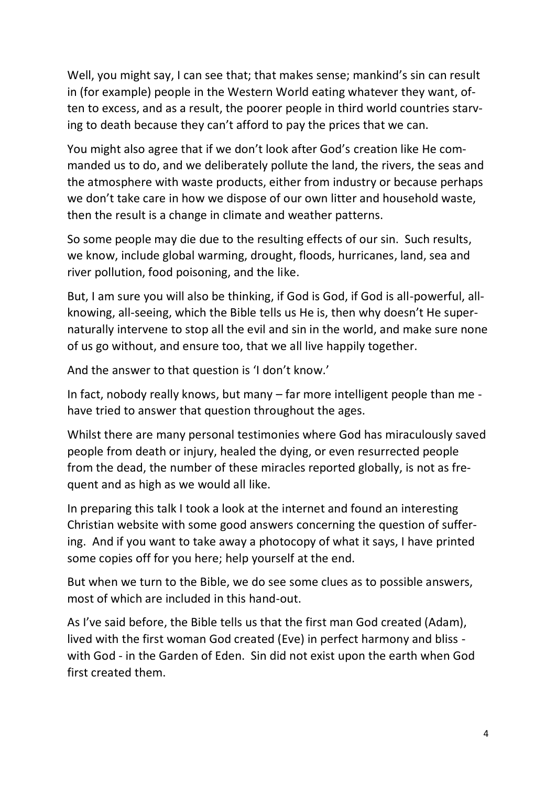Well, you might say, I can see that; that makes sense; mankind's sin can result in (for example) people in the Western World eating whatever they want, often to excess, and as a result, the poorer people in third world countries starving to death because they can't afford to pay the prices that we can.

You might also agree that if we don't look after God's creation like He commanded us to do, and we deliberately pollute the land, the rivers, the seas and the atmosphere with waste products, either from industry or because perhaps we don't take care in how we dispose of our own litter and household waste, then the result is a change in climate and weather patterns.

So some people may die due to the resulting effects of our sin. Such results, we know, include global warming, drought, floods, hurricanes, land, sea and river pollution, food poisoning, and the like.

But, I am sure you will also be thinking, if God is God, if God is all-powerful, allknowing, all-seeing, which the Bible tells us He is, then why doesn't He supernaturally intervene to stop all the evil and sin in the world, and make sure none of us go without, and ensure too, that we all live happily together.

And the answer to that question is 'I don't know.'

In fact, nobody really knows, but many – far more intelligent people than me have tried to answer that question throughout the ages.

Whilst there are many personal testimonies where God has miraculously saved people from death or injury, healed the dying, or even resurrected people from the dead, the number of these miracles reported globally, is not as frequent and as high as we would all like.

In preparing this talk I took a look at the internet and found an interesting Christian website with some good answers concerning the question of suffering. And if you want to take away a photocopy of what it says, I have printed some copies off for you here; help yourself at the end.

But when we turn to the Bible, we do see some clues as to possible answers, most of which are included in this hand-out.

As I've said before, the Bible tells us that the first man God created (Adam), lived with the first woman God created (Eve) in perfect harmony and bliss with God - in the Garden of Eden. Sin did not exist upon the earth when God first created them.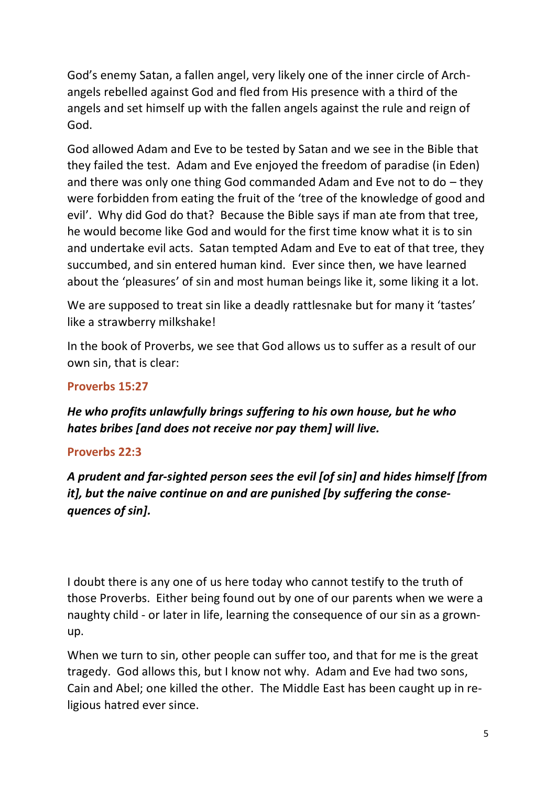God's enemy Satan, a fallen angel, very likely one of the inner circle of Archangels rebelled against God and fled from His presence with a third of the angels and set himself up with the fallen angels against the rule and reign of God.

God allowed Adam and Eve to be tested by Satan and we see in the Bible that they failed the test. Adam and Eve enjoyed the freedom of paradise (in Eden) and there was only one thing God commanded Adam and Eve not to do – they were forbidden from eating the fruit of the 'tree of the knowledge of good and evil'. Why did God do that? Because the Bible says if man ate from that tree, he would become like God and would for the first time know what it is to sin and undertake evil acts. Satan tempted Adam and Eve to eat of that tree, they succumbed, and sin entered human kind. Ever since then, we have learned about the 'pleasures' of sin and most human beings like it, some liking it a lot.

We are supposed to treat sin like a deadly rattlesnake but for many it 'tastes' like a strawberry milkshake!

In the book of Proverbs, we see that God allows us to suffer as a result of our own sin, that is clear:

#### **[Proverbs 15:27](https://www.biblegateway.com/passage/?search=Proverbs+15:27&version=AMP)**

*He who profits unlawfully brings suffering to his own house, but he who hates bribes [and does not receive nor pay them] will live.*

### **[Proverbs 22:3](https://www.biblegateway.com/passage/?search=Proverbs+22:3&version=AMP)**

*A prudent and far-sighted person sees the evil [of sin] and hides himself [from it], but the naive continue on and are punished [by suffering the consequences of sin].*

I doubt there is any one of us here today who cannot testify to the truth of those Proverbs. Either being found out by one of our parents when we were a naughty child - or later in life, learning the consequence of our sin as a grownup.

When we turn to sin, other people can suffer too, and that for me is the great tragedy. God allows this, but I know not why. Adam and Eve had two sons, Cain and Abel; one killed the other. The Middle East has been caught up in religious hatred ever since.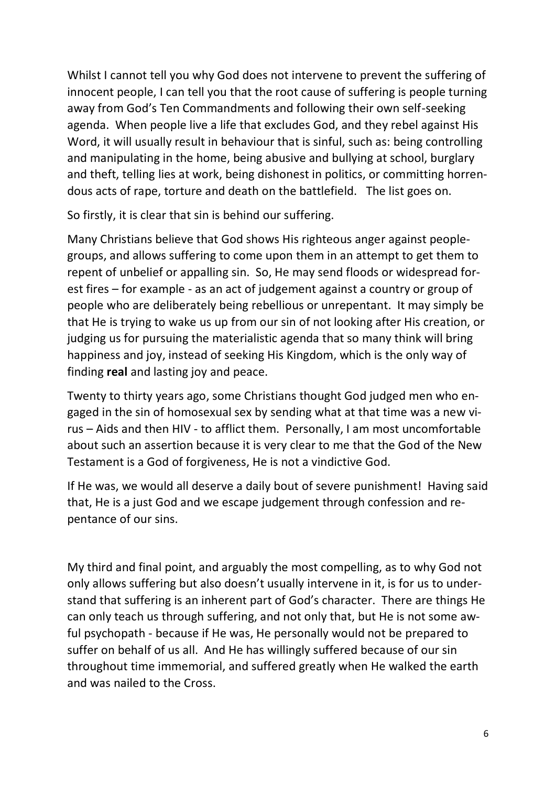Whilst I cannot tell you why God does not intervene to prevent the suffering of innocent people, I can tell you that the root cause of suffering is people turning away from God's Ten Commandments and following their own self-seeking agenda. When people live a life that excludes God, and they rebel against His Word, it will usually result in behaviour that is sinful, such as: being controlling and manipulating in the home, being abusive and bullying at school, burglary and theft, telling lies at work, being dishonest in politics, or committing horrendous acts of rape, torture and death on the battlefield. The list goes on.

So firstly, it is clear that sin is behind our suffering.

Many Christians believe that God shows His righteous anger against peoplegroups, and allows suffering to come upon them in an attempt to get them to repent of unbelief or appalling sin. So, He may send floods or widespread forest fires – for example - as an act of judgement against a country or group of people who are deliberately being rebellious or unrepentant. It may simply be that He is trying to wake us up from our sin of not looking after His creation, or judging us for pursuing the materialistic agenda that so many think will bring happiness and joy, instead of seeking His Kingdom, which is the only way of finding **real** and lasting joy and peace.

Twenty to thirty years ago, some Christians thought God judged men who engaged in the sin of homosexual sex by sending what at that time was a new virus – Aids and then HIV - to afflict them. Personally, I am most uncomfortable about such an assertion because it is very clear to me that the God of the New Testament is a God of forgiveness, He is not a vindictive God.

If He was, we would all deserve a daily bout of severe punishment! Having said that, He is a just God and we escape judgement through confession and repentance of our sins.

My third and final point, and arguably the most compelling, as to why God not only allows suffering but also doesn't usually intervene in it, is for us to understand that suffering is an inherent part of God's character. There are things He can only teach us through suffering, and not only that, but He is not some awful psychopath - because if He was, He personally would not be prepared to suffer on behalf of us all. And He has willingly suffered because of our sin throughout time immemorial, and suffered greatly when He walked the earth and was nailed to the Cross.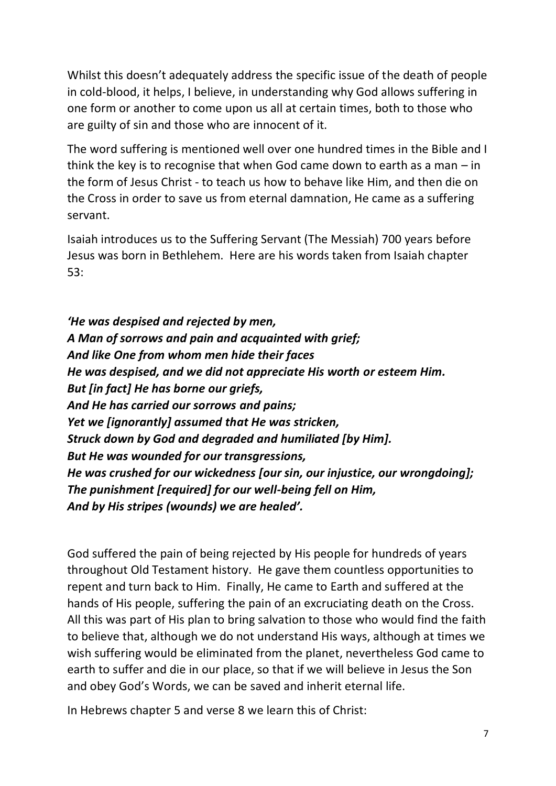Whilst this doesn't adequately address the specific issue of the death of people in cold-blood, it helps, I believe, in understanding why God allows suffering in one form or another to come upon us all at certain times, both to those who are guilty of sin and those who are innocent of it.

The word suffering is mentioned well over one hundred times in the Bible and I think the key is to recognise that when God came down to earth as a man – in the form of Jesus Christ - to teach us how to behave like Him, and then die on the Cross in order to save us from eternal damnation, He came as a suffering servant.

Isaiah introduces us to the Suffering Servant (The Messiah) 700 years before Jesus was born in Bethlehem. Here are his words taken from Isaiah chapter 53:

*'He was despised and rejected by men, A Man of sorrows and pain and acquainted with grief; And like One from whom men hide their faces He was despised, and we did not appreciate His worth or esteem Him. But [in fact] He has borne our griefs, And He has carried our sorrows and pains; Yet we [ignorantly] assumed that He was stricken, Struck down by God and degraded and humiliated [by Him]. But He was wounded for our transgressions, He was crushed for our wickedness [our sin, our injustice, our wrongdoing]; The punishment [required] for our well-being fell on Him, And by His stripes (wounds) we are healed'.*

God suffered the pain of being rejected by His people for hundreds of years throughout Old Testament history. He gave them countless opportunities to repent and turn back to Him. Finally, He came to Earth and suffered at the hands of His people, suffering the pain of an excruciating death on the Cross. All this was part of His plan to bring salvation to those who would find the faith to believe that, although we do not understand His ways, although at times we wish suffering would be eliminated from the planet, nevertheless God came to earth to suffer and die in our place, so that if we will believe in Jesus the Son and obey God's Words, we can be saved and inherit eternal life.

In Hebrews chapter 5 and verse 8 we learn this of Christ: